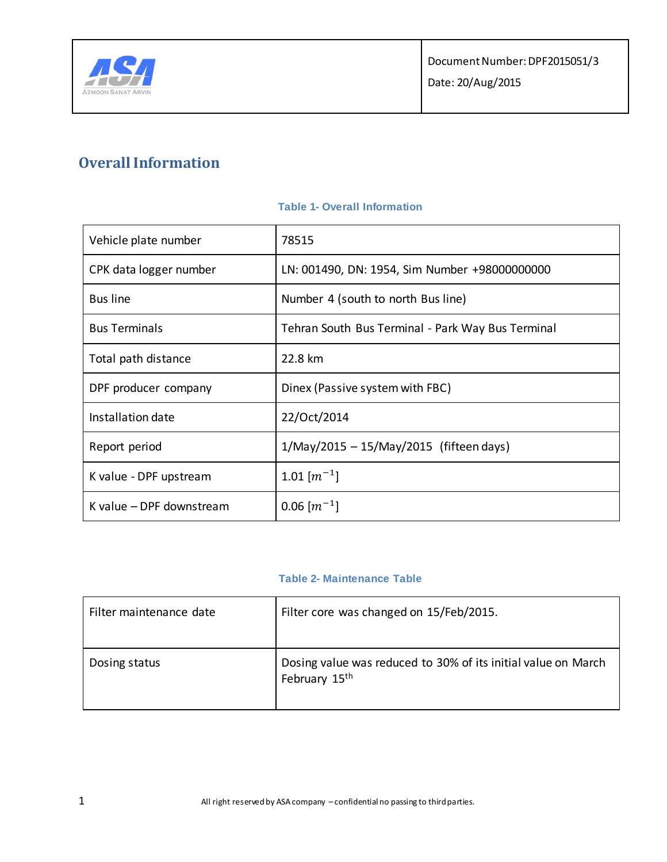

# **Overall Information**

| Vehicle plate number     | 78515                                             |
|--------------------------|---------------------------------------------------|
| CPK data logger number   | LN: 001490, DN: 1954, Sim Number +98000000000     |
| <b>Bus line</b>          | Number 4 (south to north Bus line)                |
| <b>Bus Terminals</b>     | Tehran South Bus Terminal - Park Way Bus Terminal |
| Total path distance      | 22.8 km                                           |
| DPF producer company     | Dinex (Passive system with FBC)                   |
| Installation date        | 22/Oct/2014                                       |
| Report period            | $1/May/2015 - 15/May/2015$ (fifteen days)         |
| K value - DPF upstream   | 1.01 $\lceil m^{-1} \rceil$                       |
| K value - DPF downstream | $0.06$ $\lceil m^{-1} \rceil$                     |

### **Table 1- Overall Information**

### **Table 2- Maintenance Table**

| Filter maintenance date | Filter core was changed on 15/Feb/2015.                                                    |
|-------------------------|--------------------------------------------------------------------------------------------|
| Dosing status           | Dosing value was reduced to 30% of its initial value on March<br>February 15 <sup>th</sup> |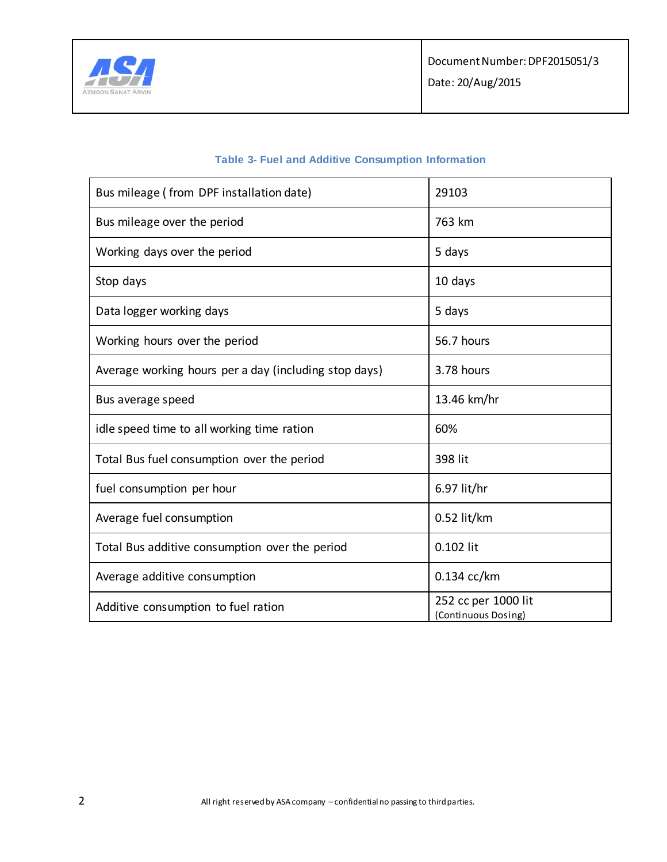

| <b>Table 3- Fuel and Additive Consumption Information</b> |  |
|-----------------------------------------------------------|--|
|-----------------------------------------------------------|--|

| Bus mileage (from DPF installation date)              | 29103                                      |
|-------------------------------------------------------|--------------------------------------------|
| Bus mileage over the period                           | 763 km                                     |
| Working days over the period                          | 5 days                                     |
| Stop days                                             | 10 days                                    |
| Data logger working days                              | 5 days                                     |
| Working hours over the period                         | 56.7 hours                                 |
| Average working hours per a day (including stop days) | 3.78 hours                                 |
| Bus average speed                                     | 13.46 km/hr                                |
| idle speed time to all working time ration            | 60%                                        |
| Total Bus fuel consumption over the period            | 398 lit                                    |
| fuel consumption per hour                             | 6.97 lit/hr                                |
| Average fuel consumption                              | $0.52$ lit/km                              |
| Total Bus additive consumption over the period        | 0.102 lit                                  |
| Average additive consumption                          | $0.134$ cc/km                              |
| Additive consumption to fuel ration                   | 252 cc per 1000 lit<br>(Continuous Dosing) |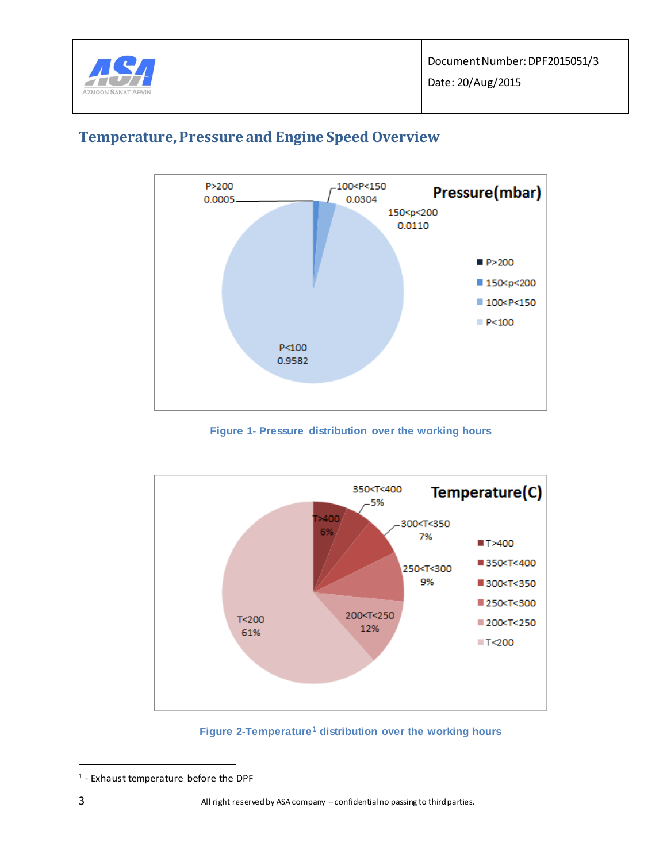

Date: 20/Aug/2015



## **Temperature, Pressure and Engine Speed Overview**

**Figure 1- Pressure distribution over the working hours**

<span id="page-2-0"></span>

**Figure 2-Temperature<sup>1</sup> distribution over the working hours**

<span id="page-2-1"></span> $\overline{a}$ 

<sup>1</sup> - Exhaust temperature before the DPF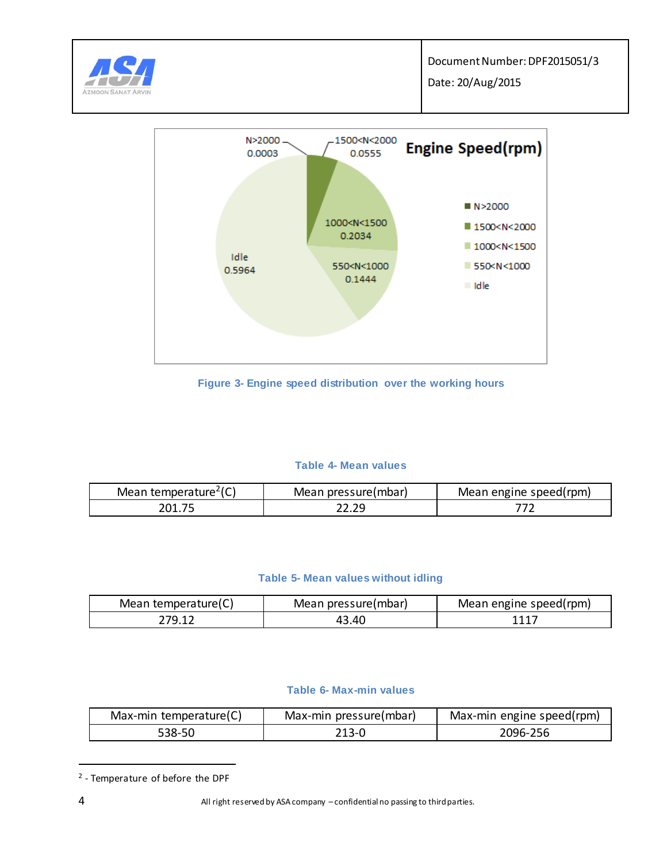





**Figure 3- Engine speed distribution over the working hours**

### **Table 4- Mean values**

| Mean temperature <sup>2</sup> (C) | Mean pressure(mbar) | Mean engine speed(rpm) |
|-----------------------------------|---------------------|------------------------|
| 201.75                            |                     |                        |

### **Table 5- Mean values without idling**

| Mean temperature(C) | Mean pressure(mbar) | Mean engine speed(rpm) |
|---------------------|---------------------|------------------------|
| 70 1                | .40                 | 1117                   |

### **Table 6- Max-min values**

| Max-min temperature(C) | Max-min pressure(mbar) | Max-min engine speed(rpm) |
|------------------------|------------------------|---------------------------|
| 538-50                 | 213-0                  | 2096-256                  |

<sup>2</sup> - Temperature of before the DPF

 $\overline{a}$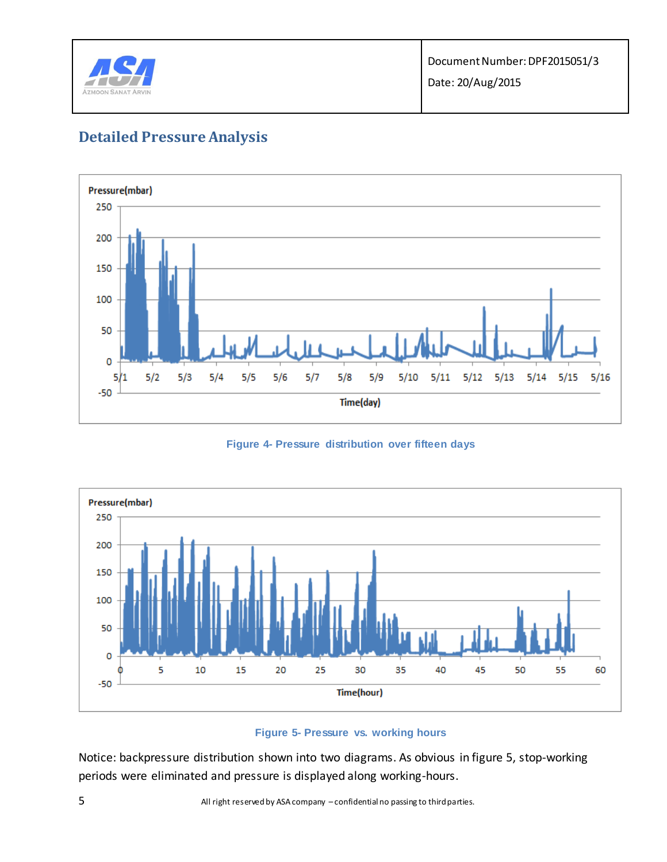

# **Detailed Pressure Analysis**



**Figure 4- Pressure distribution over fifteen days**



### **Figure 5- Pressure vs. working hours**

Notice: backpressure distribution shown into two diagrams. As obvious in figure 5, stop-working periods were eliminated and pressure is displayed along working-hours.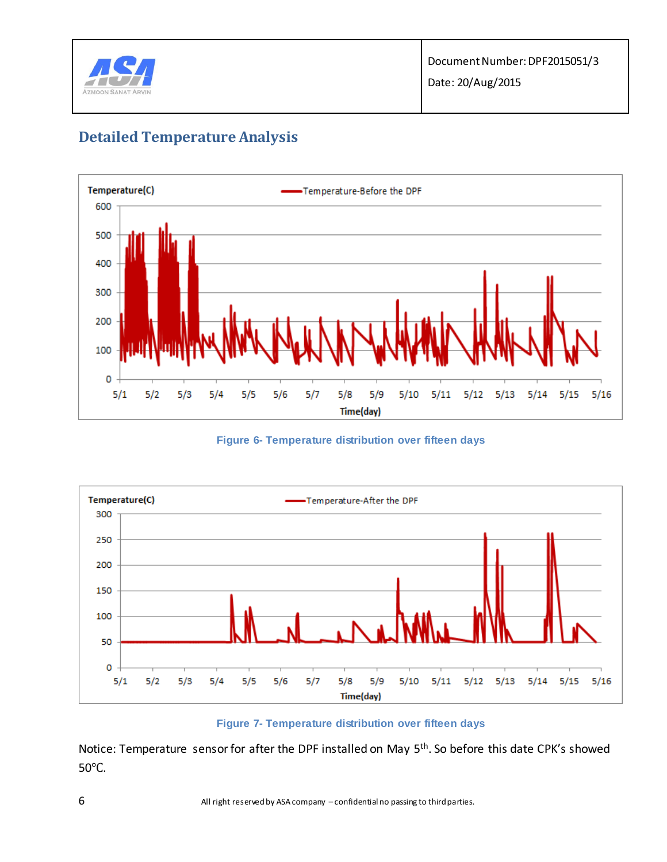

# **Detailed Temperature Analysis**



**Figure 6- Temperature distribution over fifteen days**



**Figure 7- Temperature distribution over fifteen days** 

Notice: Temperature sensor for after the DPF installed on May 5<sup>th</sup>. So before this date CPK's showed 50℃.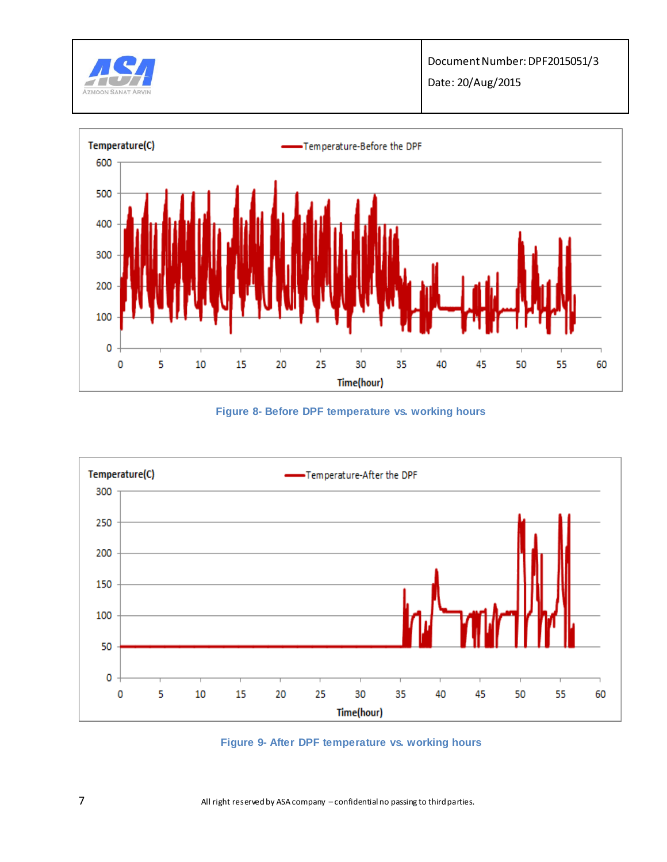

Date: 20/Aug/2015



**Figure 8- Before DPF temperature vs. working hours** 



**Figure 9- After DPF temperature vs. working hours**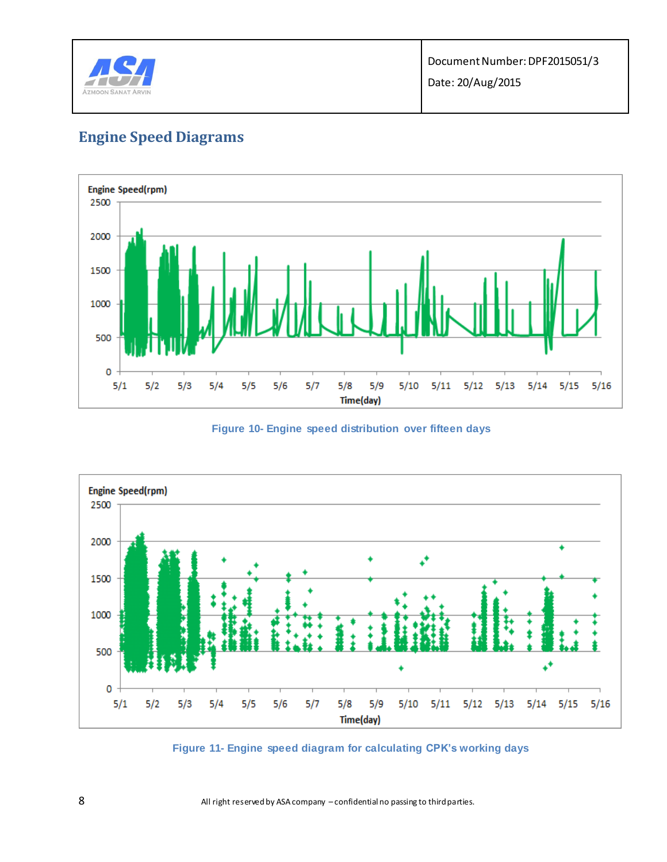

# **Engine Speed Diagrams**



**Figure 10- Engine speed distribution over fifteen days** 



**Figure 11- Engine speed diagram for calculating CPK's working days**

8 All right reserved by ASA company -confidential no passing to third parties.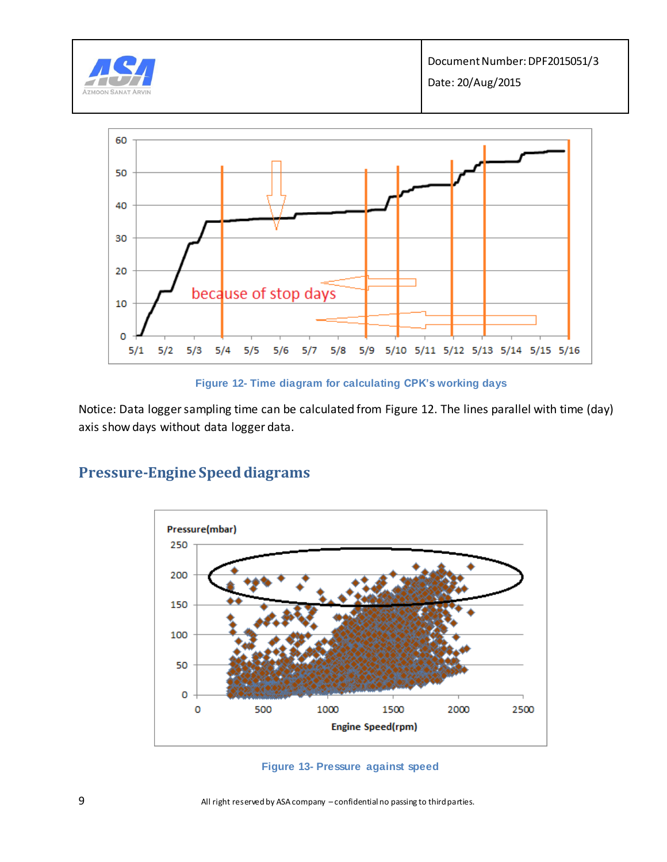



Notice: Data logger sampling time can be calculated from Figure 12. The lines parallel with time (day) axis show days without data logger data.



### **Pressure-Engine Speed diagrams**

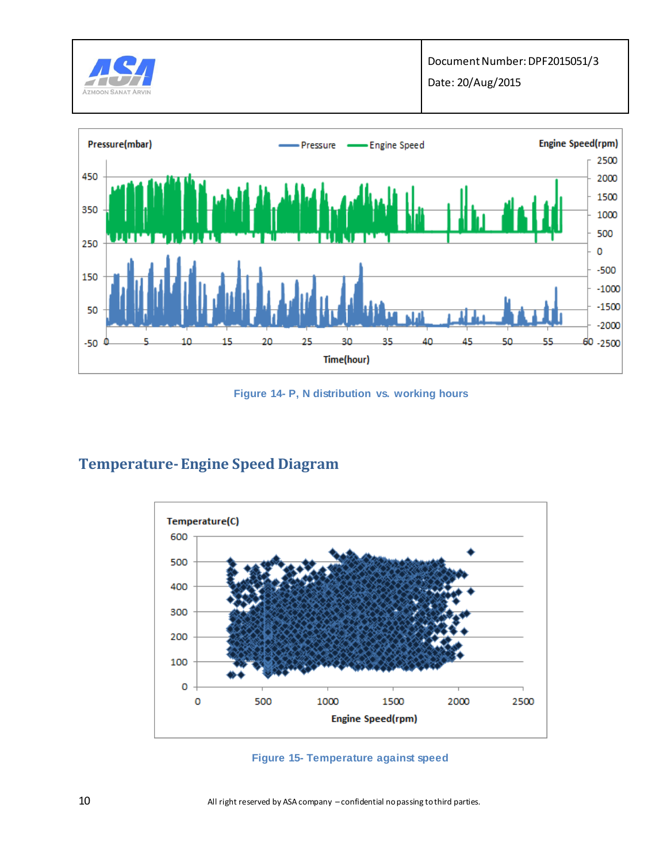

450

350

250

150

50

 $-50$ 

50

55

 $-1000$  $-1500$ 

 $-2000$ 

60 -2500



35

40

45

**Figure 14- P, N distribution vs. working hours**

30

Time(hour)

## **Temperature-Engine Speed Diagram**

10

15

20

25